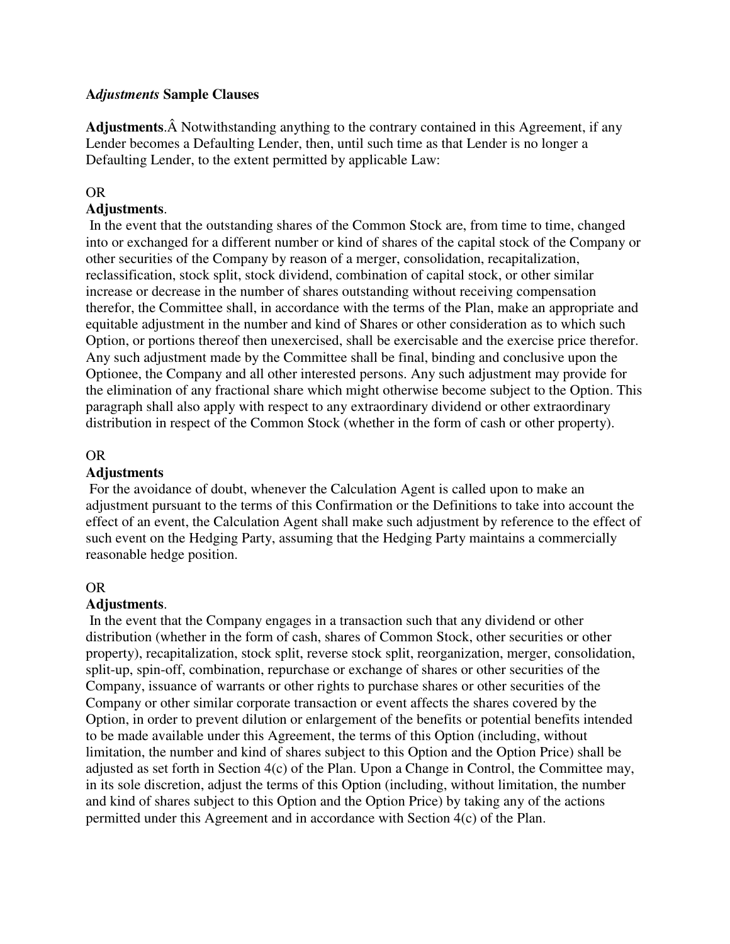## **A***djustments* **Sample Clauses**

Adjustments. A Notwithstanding anything to the contrary contained in this Agreement, if any Lender becomes a Defaulting Lender, then, until such time as that Lender is no longer a Defaulting Lender, to the extent permitted by applicable Law:

### OR

## **Adjustments**.

 In the event that the outstanding shares of the Common Stock are, from time to time, changed into or exchanged for a different number or kind of shares of the capital stock of the Company or other securities of the Company by reason of a merger, consolidation, recapitalization, reclassification, stock split, stock dividend, combination of capital stock, or other similar increase or decrease in the number of shares outstanding without receiving compensation therefor, the Committee shall, in accordance with the terms of the Plan, make an appropriate and equitable adjustment in the number and kind of Shares or other consideration as to which such Option, or portions thereof then unexercised, shall be exercisable and the exercise price therefor. Any such adjustment made by the Committee shall be final, binding and conclusive upon the Optionee, the Company and all other interested persons. Any such adjustment may provide for the elimination of any fractional share which might otherwise become subject to the Option. This paragraph shall also apply with respect to any extraordinary dividend or other extraordinary distribution in respect of the Common Stock (whether in the form of cash or other property).

### OR

### **Adjustments**

 For the avoidance of doubt, whenever the Calculation Agent is called upon to make an adjustment pursuant to the terms of this Confirmation or the Definitions to take into account the effect of an event, the Calculation Agent shall make such adjustment by reference to the effect of such event on the Hedging Party, assuming that the Hedging Party maintains a commercially reasonable hedge position.

### OR

### **Adjustments**.

 In the event that the Company engages in a transaction such that any dividend or other distribution (whether in the form of cash, shares of Common Stock, other securities or other property), recapitalization, stock split, reverse stock split, reorganization, merger, consolidation, split-up, spin-off, combination, repurchase or exchange of shares or other securities of the Company, issuance of warrants or other rights to purchase shares or other securities of the Company or other similar corporate transaction or event affects the shares covered by the Option, in order to prevent dilution or enlargement of the benefits or potential benefits intended to be made available under this Agreement, the terms of this Option (including, without limitation, the number and kind of shares subject to this Option and the Option Price) shall be adjusted as set forth in Section 4(c) of the Plan. Upon a Change in Control, the Committee may, in its sole discretion, adjust the terms of this Option (including, without limitation, the number and kind of shares subject to this Option and the Option Price) by taking any of the actions permitted under this Agreement and in accordance with Section 4(c) of the Plan.